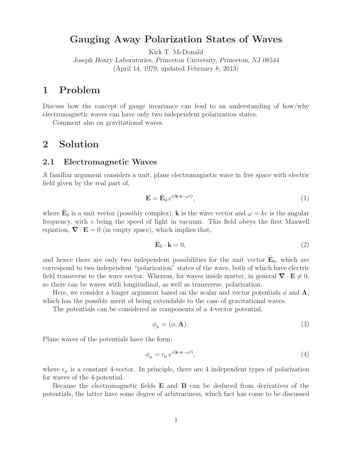# Gaugung **Polarization** States of Waves<br>Kirk T. McDonald

Kirk T. McDonald

*Joseph Henry Laboratories, Princeton University, Princeton, NJ 08544* (April 14, 1979; updated February 8, 2013)

Discuss how the concept of gauge invariance can lead to an understanding of how/why electromagnetic waves can have only two independent polarization states.

Comment also on gravitational waves.

## **2 Solution**

#### $2.1$ **2.1 Electromagnetic Waves**

A familiar argument considers a unit, plane electromagnetic wave in free space with electric field given by the real part of,

$$
\mathbf{E} = \hat{\mathbf{E}}_0 e^{i(\mathbf{k} \cdot \mathbf{x} - \omega t)},\tag{1}
$$

where  $\mathbf{\hat{E}}_0$  is a unit vector (possibly complex), **k** is the wave vector and  $\omega = kc$  is the angular frequency, with  $c$  being the speed of light in vacuum. This field obeys the first Maxwell equation,  $\nabla \cdot \mathbf{E} = 0$  (in empty space), which implies that,

$$
\hat{\mathbf{E}}_0 \cdot \mathbf{k} = 0,\tag{2}
$$

and hence there are only two independent possibilities for the unit vector  $\mathbf{\hat{E}}_0$ , which are correspond to two independent "polarization" states of the wave, both of which have electric field transverse to the wave vector. Whereas, for waves inside matter, in general  $\nabla \cdot \mathbf{E} \neq 0$ , so there can be waves with longitudinal as well as transverse, polarization so there can be waves with longitudinal, as well as transverse, polarization.

Here, we consider a longer argument based on the scalar and vector potentials  $\phi$  and  $\mathbf{A}$ , which has the possible merit of being extendable to the case of gravitational waves.

The potentials can be considered as components of a 4-vector potential,

$$
\phi_{\mu} = (\phi, \mathbf{A}). \tag{3}
$$

Plane waves of the potentials have the form,

$$
\phi_{\mu} = \epsilon_{\mu} e^{i(\mathbf{k} \cdot \mathbf{x} - \omega t)},\tag{4}
$$

where  $\epsilon_{\mu}$  is a constant 4-vector. In principle, there are 4 independent types of polarization for waves of the 4-potential.

Because the electromagnetic fields **E** and **B** can be deduced from derivatives of the potentials, the latter have some degree of arbitrariness, which fact has come to be discussed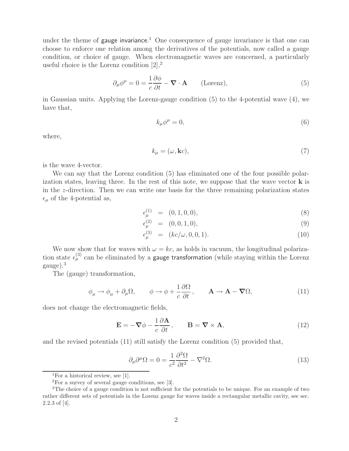under the theme of **gauge invariance**.<sup>1</sup> One consequence of gauge invariance is that one can<br>choose to enforce one relation among the derivatives of the potentials, now called a gauge choose to enforce one relation among the derivatives of the potentials, now called a gauge condition, or choice of gauge. When electromagnetic waves are concerned, a particularly useful choice is the Lorenz condition  $[2],^2$ 

$$
\partial_{\mu}\phi^{\mu} = 0 = \frac{1}{c}\frac{\partial\phi}{\partial t} - \mathbf{\nabla} \cdot \mathbf{A} \qquad \text{(Lorenz)},\tag{5}
$$

in Gaussian units. Applying the Lorenz-gauge condition (5) to the 4-potential wave (4), we have that,

$$
k_{\mu}\phi^{\mu}=0,\t\t(6)
$$

where,

$$
k_{\mu} = (\omega, \mathbf{k}c),\tag{7}
$$

is the wave 4-vector.

We can say that the Lorenz condition  $(5)$  has eliminated one of the four possible polarization states, leaving three. In the rest of this note, we suppose that the wave vector **k** is in the z-direction. Then we can write one basis for the three remaining polarization states  $\epsilon_{\mu}$  of the 4-potential as,

$$
\epsilon_{\mu}^{(1)} = (0, 1, 0, 0), \tag{8}
$$

$$
\epsilon_{\mu}^{(2)} = (0, 0, 1, 0), \tag{9}
$$

$$
\epsilon_{\mu}^{(3)} = (kc/\omega, 0, 0, 1). \tag{10}
$$

We now show that for waves with  $\omega = kc$ , as holds in vacuum, the longitudinal polarization state  $\epsilon_{\mu}^{(3)}$  can be eliminated by a **gauge transformation** (while staying within the Lorenz gauge)<sup>3</sup> gauge).<sup>3</sup>

The (gauge) transformation,

$$
\phi_{\mu} \to \phi_{\mu} + \partial_{\mu}\Omega, \qquad \phi \to \phi + \frac{1}{c}\frac{\partial\Omega}{\partial t}, \qquad \mathbf{A} \to \mathbf{A} - \boldsymbol{\nabla}\Omega,\tag{11}
$$

does not change the electromagnetic fields,

$$
\mathbf{E} = -\nabla \phi - \frac{1}{c} \frac{\partial \mathbf{A}}{\partial t}, \qquad \mathbf{B} = \nabla \times \mathbf{A}, \tag{12}
$$

and the revised potentials (11) still satisfy the Lorenz condition (5) provided that,

$$
\partial_{\mu}\partial^{\mu}\Omega = 0 = \frac{1}{c^2}\frac{\partial^2\Omega}{\partial t^2} - \nabla^2\Omega.
$$
 (13)

<sup>&</sup>lt;sup>1</sup>For a historical review, see [1].

<sup>2</sup>For a survey of several gauge conditions, see [3].

<sup>&</sup>lt;sup>3</sup>The choice of a gauge condition is not sufficient for the potentials to be unique. For an example of two rather different sets of potentials in the Lorenz gauge for waves inside a rectangular metallic cavity, see sec. 2.2.3 of [4].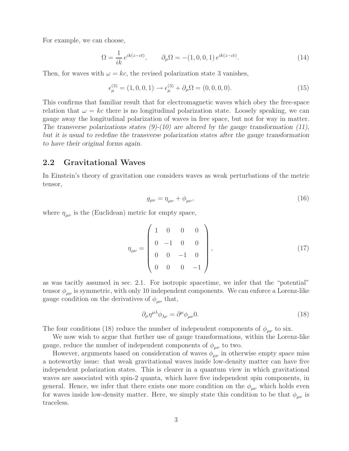For example, we can choose,

$$
\Omega = \frac{1}{ik} e^{ik(z-ct)}, \qquad \partial_{\mu} \Omega = -(1,0,0,1) e^{ik(z-ct)}.
$$
\n(14)

Then, for waves with  $\omega = kc$ , the revised polarization state 3 vanishes,

$$
\epsilon_{\mu}^{(3)} = (1, 0, 0, 1) \rightarrow \epsilon_{\mu}^{(3)} + \partial_{\mu}\Omega = (0, 0, 0, 0). \tag{15}
$$

This confirms that familiar result that for electromagnetic waves which obey the free-space relation that  $\omega = kc$  there is no longitudinal polarization state. Loosely speaking, we can gauge away the longitudinal polarization of waves in free space, but not for way in matter. *The transverse polarizations states (9)-(10) are altered by the gauge transformation (11), but it is usual to redefine the transverse polarization states after the gauge transformation to have their original forms again.*

### 2.2 **2.2 Gravitational Waves**

In Einstein's theory of gravitation one considers waves as weak perturbations of the metric tensor,

$$
g_{\mu\nu} = \eta_{\mu\nu} + \phi_{\mu\nu},\tag{16}
$$

where  $\eta_{\mu\nu}$  is the (Euclidean) metric for empty space,

$$
\eta_{\mu\nu} = \begin{pmatrix} 1 & 0 & 0 & 0 \\ 0 & -1 & 0 & 0 \\ 0 & 0 & -1 & 0 \\ 0 & 0 & 0 & -1 \end{pmatrix},
$$
\n(17)

as was tacitly assumed in sec. 2.1. For isotropic spacetime, we infer that the "potential" tensor  $\phi_{\mu\nu}$  is symmetric, with only 10 independent components. We can enforce a Lorenz-like gauge condition on the derivatives of  $\phi_{\mu\nu}$  that,

$$
\partial_{\mu}\eta^{\mu\lambda}\phi_{\lambda\nu} = \partial^{\mu}\phi_{\mu\nu}0. \tag{18}
$$

The four conditions (18) reduce the number of independent components of  $\phi_{\mu\nu}$  to six.

We now wish to argue that further use of gauge transformations, within the Lorenz-like gauge, reduce the number of independent components of  $\phi_{\mu\nu}$  to two.

However, arguments based on consideration of waves  $\phi_{\mu\nu}$  in otherwise empty space miss a noteworthy issue: that weak gravitational waves inside low-density matter can have five independent polarization states. This is clearer in a quantum view in which gravitational waves are associated with spin-2 quanta, which have five independent spin components, in general. Hence, we infer that there exists one more condition on the  $\phi_{\mu\nu}$  which holds even for waves inside low-density matter. Here, we simply state this condition to be that  $\phi_{\mu\nu}$  is traceless.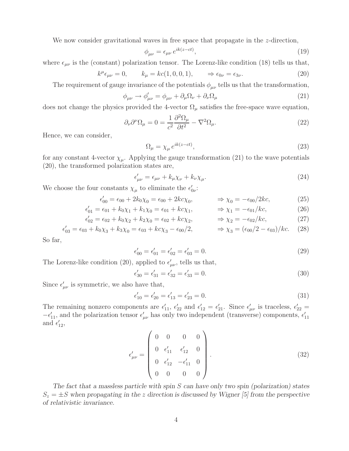We now consider gravitational waves in free space that propagate in the z-direction,

$$
\phi_{\mu\nu} = \epsilon_{\mu\nu} e^{ik(z-ct)},\tag{19}
$$

where  $\epsilon_{\mu\nu}$  is the (constant) polarization tensor. The Lorenz-like condition (18) tells us that,

$$
k^{\mu}\epsilon_{\mu\nu} = 0, \qquad k_{\mu} = kc(1, 0, 0, 1), \qquad \Rightarrow \epsilon_{0\nu} = \epsilon_{3\nu}.
$$
 (20)

The requirement of gauge invariance of the potentials  $\phi_{\mu\nu}$  tells us that the transformation,

$$
\phi_{\mu\nu} \to \phi'_{\mu\nu} = \phi_{\mu\nu} + \partial_{\mu}\Omega_{\nu} + \partial_{\nu}\Omega_{\mu}
$$
\n(21)

does not change the physics provided the 4-vector  $\Omega_{\mu}$  satisfies the free-space wave equation,

$$
\partial_{\nu}\partial^{\nu}\Omega_{\mu} = 0 = \frac{1}{c^2} \frac{\partial^2 \Omega_{\mu}}{\partial t^2} - \nabla^2 \Omega_{\mu}.
$$
\n(22)

Hence, we can consider,

$$
\Omega_{\mu} = \chi_{\mu} e^{ik(z-ct)},\tag{23}
$$

for any constant 4-vector  $\chi_{\mu}$ . Applying the gauge transformation (21) to the wave potentials (20), the transformed polarization states are,

$$
\epsilon'_{\mu\nu} = \epsilon_{\mu\nu} + k_{\mu}\chi_{\nu} + k_{\nu}\chi_{\mu}.
$$
\n(24)

We choose the four constants  $\chi_{\mu}$  to eliminate the  $\epsilon'_{0\nu}$ :

$$
\epsilon'_{00} = \epsilon_{00} + 2k_0 \chi_0 = \epsilon_{00} + 2k c \chi_0, \qquad \Rightarrow \chi_0 = -\epsilon_{00} / 2k c, \tag{25}
$$

$$
\epsilon'_{01} = \epsilon_{01} + k_0 \chi_1 + k_1 \chi_0 = \epsilon_{01} + k c \chi_1, \qquad \Rightarrow \chi_1 = -\epsilon_{01}/k c,\tag{26}
$$

$$
\epsilon'_{02} = \epsilon_{02} + k_0 \chi_2 + k_2 \chi_0 = \epsilon_{02} + k_2 \chi_2, \qquad \Rightarrow \chi_2 = -\epsilon_{02}/kc, \tag{27}
$$

$$
C'_{03} = \epsilon_{03} + k_0 \chi_3 + k_3 \chi_0 = \epsilon_{03} + k c \chi_3 - \epsilon_{00}/2, \qquad \Rightarrow \chi_3 = (\epsilon_{00}/2 - \epsilon_{03})/k c. \tag{28}
$$

So far,

 $\epsilon_0'$ 

$$
\epsilon'_{00} = \epsilon'_{01} = \epsilon'_{02} = \epsilon'_{03} = 0. \tag{29}
$$

The Lorenz-like condition (20), applied to  $\epsilon'_{\mu\nu}$ , tells us that,

$$
\epsilon'_{30} = \epsilon'_{31} = \epsilon'_{32} = \epsilon'_{33} = 0. \tag{30}
$$

Since  $\epsilon'_{\mu\nu}$  is symmetric, we also have that,

$$
\epsilon'_{10} = \epsilon'_{20} = \epsilon'_{13} = \epsilon'_{23} = 0. \tag{31}
$$

The remaining nonzero components are  $\epsilon'_{11}$ ,  $\epsilon'_{22}$  and  $\epsilon'_{12} = \epsilon'_{21}$ . Since  $\epsilon'_{\mu\nu}$  is traceless,  $\epsilon'_{22}$  $-\epsilon'_{11}$ , and the polarization tensor  $\epsilon'_{\mu\nu}$  has only two independent (transverse) components,  $\epsilon'_{11}$ and  $\epsilon'_{12}$ ,

$$
\epsilon'_{\mu\nu} = \begin{pmatrix} 0 & 0 & 0 & 0 \\ 0 & \epsilon'_{11} & \epsilon'_{12} & 0 \\ 0 & \epsilon'_{12} & -\epsilon'_{11} & 0 \\ 0 & 0 & 0 & 0 \end{pmatrix} .
$$
 (32)

*The fact that a massless particle with spin* S *can have only two spin (polarization) states*  $S_z = \pm S$  when propagating in the z direction is discussed by Wigner [5] from the perspective *of relativistic invariance.*